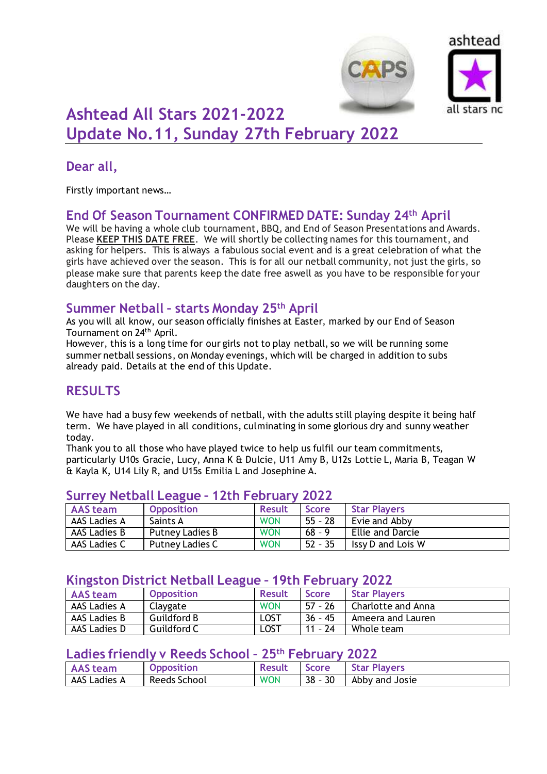



# **Ashtead All Stars 2021-2022 Update No.11, Sunday 27th February 2022**

### **Dear all,**

Firstly important news…

### **End Of Season Tournament CONFIRMED DATE: Sunday 24th April**

We will be having a whole club tournament, BBQ, and End of Season Presentations and Awards. Please **KEEP THIS DATE FREE**. We will shortly be collecting names for this tournament, and asking for helpers. This is always a fabulous social event and is a great celebration of what the girls have achieved over the season. This is for all our netball community, not just the girls, so please make sure that parents keep the date free aswell as you have to be responsible for your daughters on the day.

### **Summer Netball – starts Monday 25th April**

As you will all know, our season officially finishes at Easter, marked by our End of Season Tournament on 24th April.

However, this is a long time for our girls not to play netball, so we will be running some summer netball sessions, on Monday evenings, which will be charged in addition to subs already paid. Details at the end of this Update.

## **RESULTS**

We have had a busy few weekends of netball, with the adults still playing despite it being half term. We have played in all conditions, culminating in some glorious dry and sunny weather today.

Thank you to all those who have played twice to help us fulfil our team commitments, particularly U10s Gracie, Lucy, Anna K & Dulcie, U11 Amy B, U12s Lottie L, Maria B, Teagan W & Kayla K, U14 Lily R, and U15s Emilia L and Josephine A.

| AAS team     | <b>Opposition</b> | <b>Result</b> | <b>Score</b> | <b>Star Players</b> |  |  |
|--------------|-------------------|---------------|--------------|---------------------|--|--|
| AAS Ladies A | Saints A          | <b>WON</b>    | $55 - 28$    | Evie and Abby       |  |  |
| AAS Ladies B | Putney Ladies B   | <b>WON</b>    | $68 - 9$     | Ellie and Darcie    |  |  |
| AAS Ladies C | Putney Ladies C   | <b>WON</b>    | $52 - 35$    | Issy D and Lois W   |  |  |

#### **Surrey Netball League – 12th February 2022**

### **Kingston District Netball League – 19th February 2022**

| <b>AAS</b> team | <b>Opposition</b>  | <b>Result</b> | <b>Score</b> | <b>Star Players</b> |
|-----------------|--------------------|---------------|--------------|---------------------|
| AAS Ladies A    | Claygate           | <b>WON</b>    | $57 - 26$    | Charlotte and Anna  |
| AAS Ladies B    | <b>Guildford B</b> | <b>LOST</b>   | $36 - 45$    | Ameera and Lauren   |
| AAS Ladies D    | Guildford C        | LOST          | $11 - 24$    | Whole team          |

#### **Ladies friendly v Reeds School – 25th February 2022**

| <b>AAS</b> team | <b>Opposition</b> | <b>Result</b> | <b>Score</b> | <b>Star Players</b> |
|-----------------|-------------------|---------------|--------------|---------------------|
| AAS Ladies A    | Reeds School      | <b>WON</b>    | $38 - 30$    | Abby and Josie      |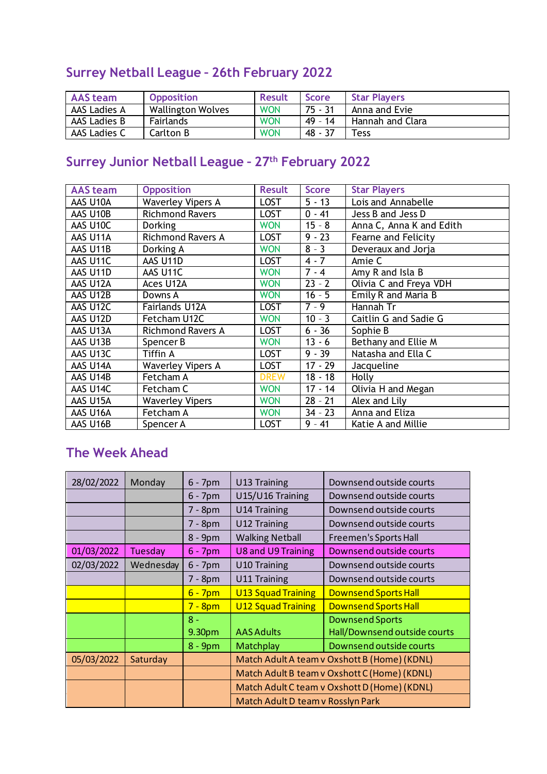## **Surrey Netball League – 26th February 2022**

| <b>AAS</b> team | <b>Opposition</b> | <b>Result</b> | <b>Score</b> | <b>Star Players</b> |
|-----------------|-------------------|---------------|--------------|---------------------|
| AAS Ladies A    | Wallington Wolves | <b>WON</b>    | 75 - 31      | Anna and Evie       |
| AAS Ladies B    | Fairlands         | <b>WON</b>    | 49 - 14      | Hannah and Clara    |
| AAS Ladies C    | <b>Carlton B</b>  | <b>WON</b>    | $48 - 37$    | Tess                |

# **Surrey Junior Netball League – 27th February 2022**

| <b>AAS</b> team | <b>Opposition</b>        | <b>Result</b> | <b>Score</b> | <b>Star Players</b>      |
|-----------------|--------------------------|---------------|--------------|--------------------------|
| AAS U10A        | <b>Waverley Vipers A</b> | <b>LOST</b>   | $5 - 13$     | Lois and Annabelle       |
| AAS U10B        | <b>Richmond Ravers</b>   | <b>LOST</b>   | $0 - 41$     | Jess B and Jess D        |
| AAS U10C        | <b>Dorking</b>           | <b>WON</b>    | $15 - 8$     | Anna C, Anna K and Edith |
| AAS U11A        | <b>Richmond Ravers A</b> | <b>LOST</b>   | $9 - 23$     | Fearne and Felicity      |
| AAS U11B        | Dorking A                | <b>WON</b>    | $8 - 3$      | Deveraux and Jorja       |
| AAS U11C        | AAS U11D                 | <b>LOST</b>   | $4 - 7$      | Amie C                   |
| AAS U11D        | AAS U11C                 | <b>WON</b>    | $7 - 4$      | Amy R and Isla B         |
| AAS U12A        | Aces U12A                | <b>WON</b>    | $23 - 2$     | Olivia C and Freya VDH   |
| AAS U12B        | Downs A                  | <b>WON</b>    | $16 - 5$     | Emily R and Maria B      |
| AAS U12C        | Fairlands U12A           | <b>LOST</b>   | $7 - 9$      | Hannah Tr                |
| AAS U12D        | Fetcham U12C             | <b>WON</b>    | $10 - 3$     | Caitlin G and Sadie G    |
| AAS U13A        | <b>Richmond Ravers A</b> | <b>LOST</b>   | $6 - 36$     | Sophie B                 |
| AAS U13B        | Spencer B                | <b>WON</b>    | $13 - 6$     | Bethany and Ellie M      |
| AAS U13C        | Tiffin A                 | <b>LOST</b>   | $9 - 39$     | Natasha and Ella C       |
| AAS U14A        | <b>Waverley Vipers A</b> | <b>LOST</b>   | $17 - 29$    | Jacqueline               |
| AAS U14B        | Fetcham A                | <b>DREW</b>   | $18 - 18$    | Holly                    |
| AAS U14C        | Fetcham C                | <b>WON</b>    | $17 - 14$    | Olivia H and Megan       |
| AAS U15A        | <b>Waverley Vipers</b>   | <b>WON</b>    | $28 - 21$    | Alex and Lily            |
| AAS U16A        | Fetcham A                | <b>WON</b>    | $34 - 23$    | Anna and Eliza           |
| AAS U16B        | Spencer A                | LOST          | $9 - 41$     | Katie A and Millie       |

## **The Week Ahead**

| 28/02/2022 | Monday    | $6 - 7$ pm | U13 Training                                 | Downsend outside courts      |  |
|------------|-----------|------------|----------------------------------------------|------------------------------|--|
|            |           | $6 - 7$ pm | U15/U16 Training                             | Downsend outside courts      |  |
|            |           | $7 - 8pm$  | U14 Training                                 | Downsend outside courts      |  |
|            |           | $7 - 8pm$  | U12 Training                                 | Downsend outside courts      |  |
|            |           | 8 - 9pm    | <b>Walking Netball</b>                       | Freemen's Sports Hall        |  |
| 01/03/2022 | Tuesday   | $6 - 7$ pm | <b>U8 and U9 Training</b>                    | Downsend outside courts      |  |
| 02/03/2022 | Wednesday | $6 - 7$ pm | U10 Training                                 | Downsend outside courts      |  |
|            |           | $7 - 8pm$  | U11 Training                                 | Downsend outside courts      |  |
|            |           | $6 - 7$ pm | <b>U13 Squad Training</b>                    | <b>Downsend Sports Hall</b>  |  |
|            |           | $7 - 8pm$  | <b>U12 Squad Training</b>                    | <b>Downsend Sports Hall</b>  |  |
|            |           | $8 -$      |                                              | <b>Downsend Sports</b>       |  |
|            |           | 9.30pm     | <b>AAS Adults</b>                            | Hall/Downsend outside courts |  |
|            |           | $8 - 9$ pm | Matchplay                                    | Downsend outside courts      |  |
| 05/03/2022 | Saturday  |            | Match Adult A team v Oxshott B (Home) (KDNL) |                              |  |
|            |           |            | Match Adult B team v Oxshott C (Home) (KDNL) |                              |  |
|            |           |            | Match Adult C team v Oxshott D (Home) (KDNL) |                              |  |
|            |           |            | Match Adult D team v Rosslyn Park            |                              |  |